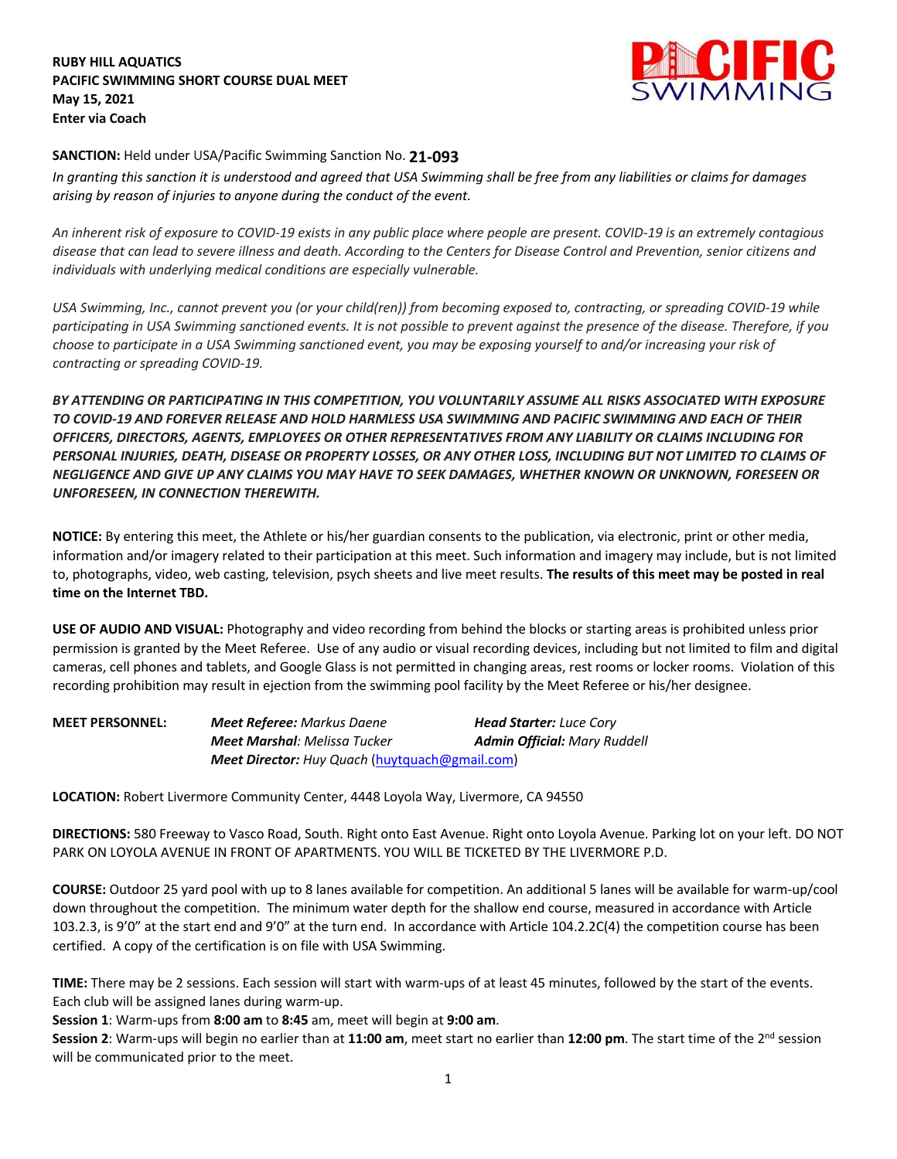**RUBY HILL AQUATICS PACIFIC SWIMMING SHORT COURSE DUAL MEET May 15, 2021 Enter via Coach**



## **SANCTION:** Held under USA/Pacific Swimming Sanction No. **21-093**

*In granting this sanction it is understood and agreed that USA Swimming shall be free from any liabilities or claims for damages arising by reason of injuries to anyone during the conduct of the event.* 

*An inherent risk of exposure to COVID-19 exists in any public place where people are present. COVID-19 is an extremely contagious disease that can lead to severe illness and death. According to the Centers for Disease Control and Prevention, senior citizens and individuals with underlying medical conditions are especially vulnerable.*

*USA Swimming, Inc., cannot prevent you (or your child(ren)) from becoming exposed to, contracting, or spreading COVID-19 while participating in USA Swimming sanctioned events. It is not possible to prevent against the presence of the disease. Therefore, if you choose to participate in a USA Swimming sanctioned event, you may be exposing yourself to and/or increasing your risk of contracting or spreading COVID-19.*

*BY ATTENDING OR PARTICIPATING IN THIS COMPETITION, YOU VOLUNTARILY ASSUME ALL RISKS ASSOCIATED WITH EXPOSURE TO COVID-19 AND FOREVER RELEASE AND HOLD HARMLESS USA SWIMMING AND PACIFIC SWIMMING AND EACH OF THEIR OFFICERS, DIRECTORS, AGENTS, EMPLOYEES OR OTHER REPRESENTATIVES FROM ANY LIABILITY OR CLAIMS INCLUDING FOR PERSONAL INJURIES, DEATH, DISEASE OR PROPERTY LOSSES, OR ANY OTHER LOSS, INCLUDING BUT NOT LIMITED TO CLAIMS OF NEGLIGENCE AND GIVE UP ANY CLAIMS YOU MAY HAVE TO SEEK DAMAGES, WHETHER KNOWN OR UNKNOWN, FORESEEN OR UNFORESEEN, IN CONNECTION THEREWITH.*

**NOTICE:** By entering this meet, the Athlete or his/her guardian consents to the publication, via electronic, print or other media, information and/or imagery related to their participation at this meet. Such information and imagery may include, but is not limited to, photographs, video, web casting, television, psych sheets and live meet results. **The results of this meet may be posted in real time on the Internet TBD.**

**USE OF AUDIO AND VISUAL:** Photography and video recording from behind the blocks or starting areas is prohibited unless prior permission is granted by the Meet Referee. Use of any audio or visual recording devices, including but not limited to film and digital cameras, cell phones and tablets, and Google Glass is not permitted in changing areas, rest rooms or locker rooms. Violation of this recording prohibition may result in ejection from the swimming pool facility by the Meet Referee or his/her designee.

| <b>MEET PERSONNEL:</b> | <b>Meet Referee: Markus Daene</b>              | <b>Head Starter:</b> Luce Cory      |  |
|------------------------|------------------------------------------------|-------------------------------------|--|
|                        | <b>Meet Marshal</b> : Melissa Tucker           | <b>Admin Official: Mary Ruddell</b> |  |
|                        | Meet Director: Huy Quach (huytquach@gmail.com) |                                     |  |

**LOCATION:** Robert Livermore Community Center, 4448 Loyola Way, Livermore, CA 94550

**DIRECTIONS:** 580 Freeway to Vasco Road, South. Right onto East Avenue. Right onto Loyola Avenue. Parking lot on your left. DO NOT PARK ON LOYOLA AVENUE IN FRONT OF APARTMENTS. YOU WILL BE TICKETED BY THE LIVERMORE P.D.

**COURSE:** Outdoor 25 yard pool with up to 8 lanes available for competition. An additional 5 lanes will be available for warm-up/cool down throughout the competition. The minimum water depth for the shallow end course, measured in accordance with Article 103.2.3, is 9'0" at the start end and 9'0" at the turn end. In accordance with Article 104.2.2C(4) the competition course has been certified. A copy of the certification is on file with USA Swimming.

**TIME:** There may be 2 sessions. Each session will start with warm-ups of at least 45 minutes, followed by the start of the events. Each club will be assigned lanes during warm-up.

**Session 1**: Warm-ups from **8:00 am** to **8:45** am, meet will begin at **9:00 am**.

**Session 2**: Warm-ups will begin no earlier than at **11:00 am**, meet start no earlier than **12:00 pm**. The start time of the 2nd session will be communicated prior to the meet.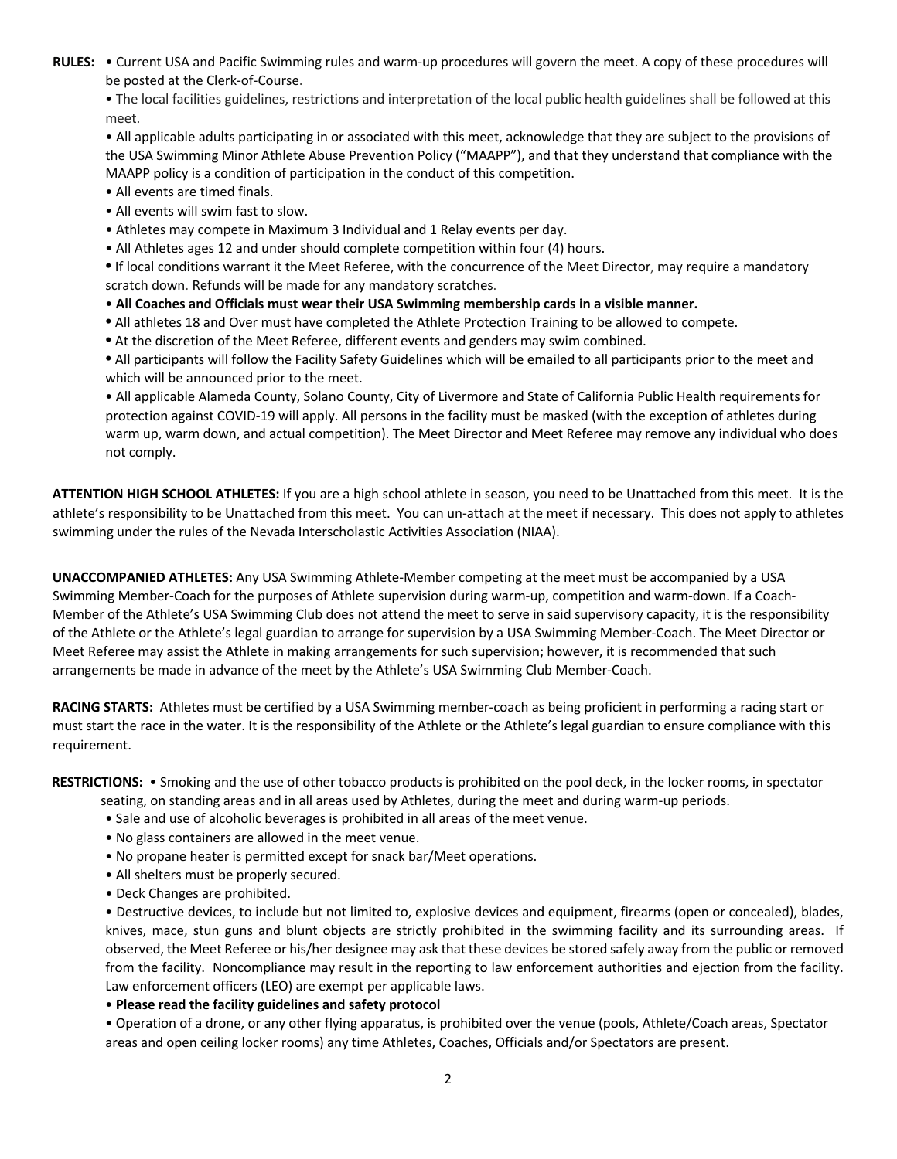**RULES:** • Current USA and Pacific Swimming rules and warm-up procedures will govern the meet. A copy of these procedures will be posted at the Clerk-of-Course.

• The local facilities guidelines, restrictions and interpretation of the local public health guidelines shall be followed at this meet.

• All applicable adults participating in or associated with this meet, acknowledge that they are subject to the provisions of the USA Swimming Minor Athlete Abuse Prevention Policy ("MAAPP"), and that they understand that compliance with the MAAPP policy is a condition of participation in the conduct of this competition.

- All events are timed finals.
- All events will swim fast to slow.
- Athletes may compete in Maximum 3 Individual and 1 Relay events per day.
- All Athletes ages 12 and under should complete competition within four (4) hours.

**•** If local conditions warrant it the Meet Referee, with the concurrence of the Meet Director, may require a mandatory scratch down. Refunds will be made for any mandatory scratches.

- **All Coaches and Officials must wear their USA Swimming membership cards in a visible manner.**
- **•** All athletes 18 and Over must have completed the Athlete Protection Training to be allowed to compete.
- **•** At the discretion of the Meet Referee, different events and genders may swim combined.

**•** All participants will follow the Facility Safety Guidelines which will be emailed to all participants prior to the meet and which will be announced prior to the meet.

• All applicable Alameda County, Solano County, City of Livermore and State of California Public Health requirements for protection against COVID-19 will apply. All persons in the facility must be masked (with the exception of athletes during warm up, warm down, and actual competition). The Meet Director and Meet Referee may remove any individual who does not comply.

**ATTENTION HIGH SCHOOL ATHLETES:** If you are a high school athlete in season, you need to be Unattached from this meet. It is the athlete's responsibility to be Unattached from this meet. You can un-attach at the meet if necessary. This does not apply to athletes swimming under the rules of the Nevada Interscholastic Activities Association (NIAA).

**UNACCOMPANIED ATHLETES:** Any USA Swimming Athlete-Member competing at the meet must be accompanied by a USA Swimming Member-Coach for the purposes of Athlete supervision during warm-up, competition and warm-down. If a Coach-Member of the Athlete's USA Swimming Club does not attend the meet to serve in said supervisory capacity, it is the responsibility of the Athlete or the Athlete's legal guardian to arrange for supervision by a USA Swimming Member-Coach. The Meet Director or Meet Referee may assist the Athlete in making arrangements for such supervision; however, it is recommended that such arrangements be made in advance of the meet by the Athlete's USA Swimming Club Member-Coach.

**RACING STARTS:** Athletes must be certified by a USA Swimming member-coach as being proficient in performing a racing start or must start the race in the water. It is the responsibility of the Athlete or the Athlete's legal guardian to ensure compliance with this requirement.

**RESTRICTIONS:** • Smoking and the use of other tobacco products is prohibited on the pool deck, in the locker rooms, in spectator

- seating, on standing areas and in all areas used by Athletes, during the meet and during warm-up periods.
- Sale and use of alcoholic beverages is prohibited in all areas of the meet venue.
- No glass containers are allowed in the meet venue.
- No propane heater is permitted except for snack bar/Meet operations.
- All shelters must be properly secured.
- Deck Changes are prohibited.

• Destructive devices, to include but not limited to, explosive devices and equipment, firearms (open or concealed), blades, knives, mace, stun guns and blunt objects are strictly prohibited in the swimming facility and its surrounding areas. If observed, the Meet Referee or his/her designee may ask that these devices be stored safely away from the public or removed from the facility. Noncompliance may result in the reporting to law enforcement authorities and ejection from the facility. Law enforcement officers (LEO) are exempt per applicable laws.

• **Please read the facility guidelines and safety protocol**

• Operation of a drone, or any other flying apparatus, is prohibited over the venue (pools, Athlete/Coach areas, Spectator areas and open ceiling locker rooms) any time Athletes, Coaches, Officials and/or Spectators are present.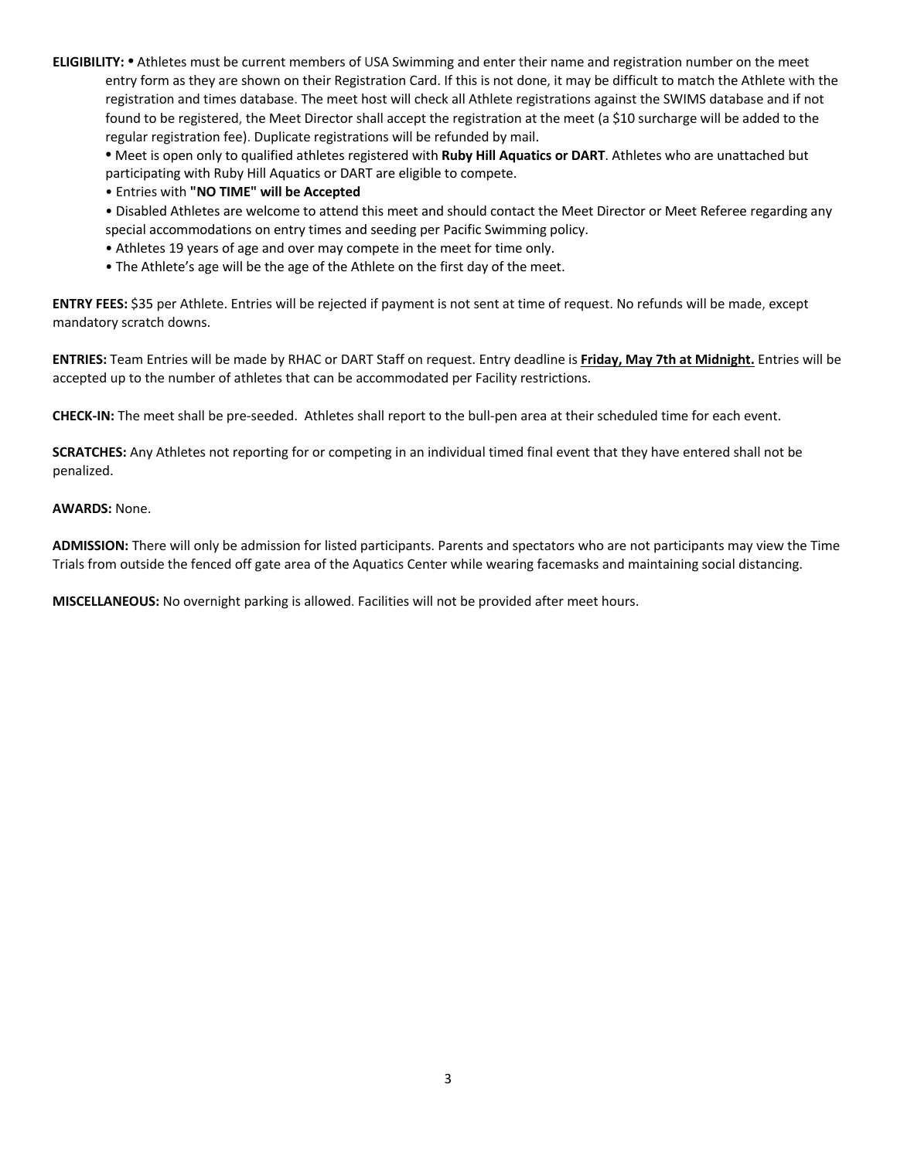**ELIGIBILITY: •** Athletes must be current members of USA Swimming and enter their name and registration number on the meet entry form as they are shown on their Registration Card. If this is not done, it may be difficult to match the Athlete with the registration and times database. The meet host will check all Athlete registrations against the SWIMS database and if not found to be registered, the Meet Director shall accept the registration at the meet (a \$10 surcharge will be added to the regular registration fee). Duplicate registrations will be refunded by mail.

**•** Meet is open only to qualified athletes registered with **Ruby Hill Aquatics or DART**. Athletes who are unattached but participating with Ruby Hill Aquatics or DART are eligible to compete.

• Entries with **"NO TIME" will be Accepted** 

• Disabled Athletes are welcome to attend this meet and should contact the Meet Director or Meet Referee regarding any special accommodations on entry times and seeding per Pacific Swimming policy.

- Athletes 19 years of age and over may compete in the meet for time only.
- The Athlete's age will be the age of the Athlete on the first day of the meet.

**ENTRY FEES:** \$35 per Athlete. Entries will be rejected if payment is not sent at time of request. No refunds will be made, except mandatory scratch downs.

**ENTRIES:** Team Entries will be made by RHAC or DART Staff on request. Entry deadline is **Friday, May 7th at Midnight.** Entries will be accepted up to the number of athletes that can be accommodated per Facility restrictions.

**CHECK-IN:** The meet shall be pre-seeded. Athletes shall report to the bull-pen area at their scheduled time for each event.

**SCRATCHES:** Any Athletes not reporting for or competing in an individual timed final event that they have entered shall not be penalized.

## **AWARDS:** None.

**ADMISSION:** There will only be admission for listed participants. Parents and spectators who are not participants may view the Time Trials from outside the fenced off gate area of the Aquatics Center while wearing facemasks and maintaining social distancing.

**MISCELLANEOUS:** No overnight parking is allowed. Facilities will not be provided after meet hours.